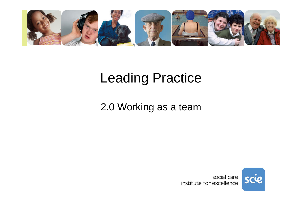

# Leading Practice

### 2.0 Working as a team

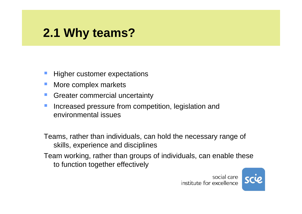# **2.1 Why teams?**

- Higher customer expectations
- More complex markets
- Greater commercial uncertainty
- Increased pressure from competition, legislation and environmental issues

Teams, rather than individuals, can hold the necessary range of skills, experience and disciplines

Team working, rather than groups of individuals, can enable these to function together effectively

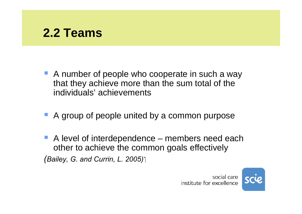

- A number of people who cooperate in such a way that they achieve more than the sum total of the individuals' achievements
- **A group of people united by a common purpose**
- A level of interdependence members need each other to achieve the common goals effectively *(Bailey, G. and Currin, L. 2005)*

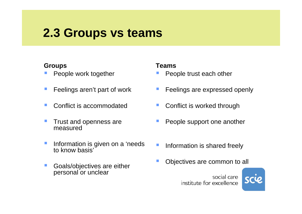## **2.3 Groups vs teams**

#### **Groups**

- People work together
- $\mathcal{L}_{\mathcal{A}}$ Feelings aren't part of work
- Conflict is accommodated
- $\mathbb{R}^3$  Trust and openness are measured
- m. Information is given on a 'needs to know basis'
- F. Goals/objectives are either personal or unclear

#### **Teams**

- People trust each other
- **STATE OF STATE OF STATE OF STATE OF STATE OF STATE OF STATE OF STATE OF STATE OF STATE OF STATE OF STATE OF S** Feelings are expressed openly
- Conflict is worked through
- People support one another
- Information is shared freely
- Objectives are common to all

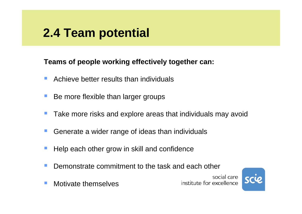# **2.4 Team potential**

### **Teams of people working effectively together can:**

- P. Achieve better results than individuals
- P) Be more flexible than larger groups
- $\mathbb{R}^3$ Take more risks and explore areas that individuals may avoid
- $\mathcal{L}_{\mathcal{A}}$ Generate a wider range of ideas than individuals
- $\mathbb{R}^n$ Help each other grow in skill and confidence
- P) Demonstrate commitment to the task and each other

social care institute for excellence



 $\mathcal{L}_{\mathcal{A}}$ Motivate themselves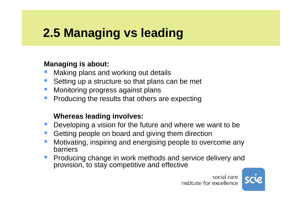# **2.5 Managing vs leading**

### **Managing is about:**

- P) Making plans and working out details
- $\mathcal{L}_{\mathcal{A}}$ Setting up a structure so that plans can be met
- P) Monitoring progress against plans
- $\sim$ Producing the results that others are expecting

### **Whereas leading involves:**

- P) Developing a vision for the future and where we want to be
- $\mathcal{L}_{\mathcal{A}}$ Getting people on board and giving them direction
- P) Motivating, inspiring and energising people to overcome any barriers
- P) Producing change in work methods and service delivery and provision, to stay competitive and effective

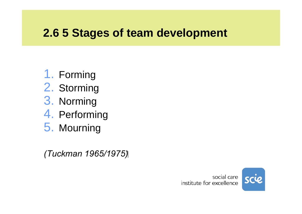### **2.6 5 Stages of team development**

- 1. Forming
- 2. Storming
- 3. Norming
- 4. Performing
- 5. Mourning

*(1965/1975 Tuckman(*